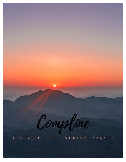Compline A SERVICE OF EVENING PRAYER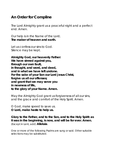## **An Order for Compline**

The Lord Almighty grant us a peaceful night and a perfect end. *Amen*.

Our help is in the Name of the Lord; **The maker of heaven and earth.**

Let us confess our sins to God. *Silence may be kept.*

**Almighty God, our heavenly Father: We have sinned against you, through our own fault, in thought, and word, and deed, and in what we have left undone. For the sake of your Son our Lord Jesus Christ, forgive us all our offenses; and grant that we may serve you in newness of life, to the glory of your Name. Amen.**

May the Almighty God grant us forgiveness of all our sins, and the grace and comfort of the Holy Spirit. *Amen*.

O God, make speed to save us. **O Lord, make haste to help us.**

**Glory to the Father, and to the Son, and to the Holy Spirit: as it was in the beginning, is now, and will be for ever. Amen.** (Except in Lent, add) **Alleluia**.

*One or more of the following Psalms are sung or said. Other suitable selections may be substituted.*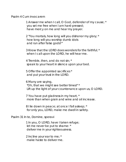Psalm 4 *Cum invocarem*

1 Answer me when I call, O God, defender of my cause; \* you set me free when I am hard-pressed; have mercy on me and hear my prayer.

2 "You mortals, how long will you dishonor my glory; \* how long will you worship dumb idols and run after false gods?"

3 Know that the LORD does wonders for the faithful; \* when I call upon the LORD, he will hear me.

4 Tremble, then, and do not sin; \* speak to your heart in silence upon your bed.

5 Offer the appointed sacrifices \* and put your trust in the LORD.

6 Many are saying, "Oh, that we might see better times!" \* Lift up the light of your countenance upon us, O LORD.

7 You have put gladness in my heart, \* more than when grain and wine and oil increase.

8 I lie down in peace; at once I fall asleep; \* for only you, LORD, make me dwell in safety.

Psalm 31 *In te, Domine, speravi*

1 In you, O LORD, have I taken refuge; let me never be put to shame: \* deliver me in your righteousness.

2 Incline your ear to me; \* make haste to deliver me.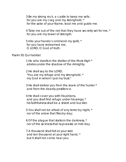3 Be my strong rock, a castle to keep me safe, for you are my crag and my stronghold; \* for the sake of your Name, lead me and guide me.

4 Take me out of the net that they have secretly set for me, \* for you are my tower of strength.

5 Into your hands I commend my spirit, \* for you have redeemed me, O LORD, O God of truth.

## Psalm 91 *Qui habitat*

1 He who dwells in the shelter of the Most High \* abides under the shadow of the Almighty.

2 He shall say to the LORD, "You are my refuge and my stronghold, \* my God in whom I put my trust."

3 He shall deliver you from the snare of the hunter \* and from the deadly pestilence.

4 He shall cover you with his pinions, and you shall find refuge under his wings; \* his faithfulness shall be a shield and buckler.

5 You shall not be afraid of any terror by night, \* nor of the arrow that flies by day;

6 Of the plague that stalks in the darkness, \* nor of the sickness that lays waste at mid-day.

7 A thousand shall fall at your side and ten thousand at your right hand, \* but it shall not come near you.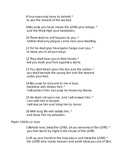8 Your eyes only have to behold \* to see the reward of the wicked.

9 Because you have made the LORD your refuge, \* and the Most High your habitation,

10 There shall no evil happen to you, \* neither shall any plague come near your dwelling.

11 For he shall give his angels charge over you, \* to keep you in all your ways.

12 They shall bear you in their hands, \* lest you dash your foot against a stone.

13 You shall tread upon the lion and the adder; \* you shall trample the young lion and the serpent under your feet.

14 Because he is bound to me in love, therefore will I deliver him; \* I will protect him, because he knows my Name.

15 He shall call upon me, and I will answer him; \* I am with him in trouble; I will rescue him and bring him to honor.

16 With long life will I satisfy him, \* and show him my salvation.

## Psalm 134 *Ecce nunc*

1 Behold now, bless the LORD, all you servants of the LORD, \* you that stand by night in the house of the LORD.

2 Lift up your hands in the holy place and bless the LORD; \* the LORD who made heaven and earth bless you out of Zion.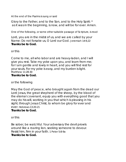*At the end of the Psalms is sung or said*

Glory to the Father, and to the Son, and to the Holy Spirit: \* as it was in the beginning, is now, and will be for ever. Amen.

*One of the following, or some other suitable passage of Scripture, is read*

Lord, you are in the midst of us, and we are called by your Name: Do not forsake us, O Lord our God. *Jeremiah 14:9,22* **Thanks be to God.**

or this

Come to me, all who labor and are heavy-laden, and I will give you rest. Take my yoke upon you, and learn from me; for I am gentle and lowly in heart, and you will find rest for your souls. For my yoke is easy, and my burden is light. *Matthew 11:28-30* **Thanks be to God.**

or the following

May the God of peace, who brought again from the dead our Lord Jesus, the great shepherd of the sheep, by the blood of the eternal covenant, equip you with everything good that you may do his will, working in you that which is pleasing in his sight; through Jesus Christ, to whom be glory for ever and ever. *Hebrews 13:20-21*

## **Thanks be to God.**

or this

Be sober, be watchful. Your adversary the devil prowls around like a roaring lion, seeking someone to devour. Resist him, firm in your faith. *1 Peter 5:8-9a* **Thanks be to God.**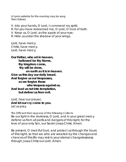*A hymn suitable for the evening may be sung. Then follows*

V. Into your hands, O Lord, I commend my spirit;

R. For you have redeemed me, O Lord, O God of truth.

V. Keep us, O Lord, as the apple of your eye;

R. Hide us under the shadow of your wings.

Lord, have mercy. *Christ, have mercy.* Lord, have mercy.

**Our Father, who art in heaven, hallowed be thy Name, thy kingdom come, thy will be done, on earth as it is in heaven. Give us this day our daily bread. And forgive us our trespasses, as we forgive those who trespass against us. And lead us not into temptation, but deliver us from evil.**

Lord, hear our prayer; **And let our cry come to you.** Let us pray.

*The Officiant then says one of the following Collects* Be our light in the darkness, O Lord, and in your great mercy defend us from all perils and dangers of this night; for the love of your only Son, our Savior Jesus Christ. *Amen.*

Be present, O merciful God, and protect us through the hours of this night, so that we who are wearied by the changes and chances of this life may rest in your eternal changelessness; through Jesus Christ our Lord. *Amen*.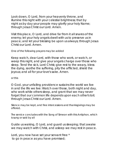Look down, O Lord, from your heavenly throne, and illumine this night with your celestial brightness; that by night as by day your people may glorify your holy Name; through Jesus Christ our Lord. *Amen*.

Visit this place, O Lord, and drive far from it all snares of the enemy; let your holy angels dwell with us to preserve us in peace; and let your blessing be upon us always; through Jesus Christ our Lord. *Amen*.

*One of the following prayers may be added*

Keep watch, dear Lord, with those who work, or watch, or weep this night, and give your angels charge over those who sleep. Tend the sick, Lord Christ; give rest to the weary, bless the dying, soothe the suffering, pity the afflicted, shield the joyous; and all for your love's sake. *Amen*.

*or this*

O God, your unfailing providence sustains the world we live in and the life we live: Watch over those, both night and day, who work while others sleep, and grant that we may never forget that our common life depends upon each other's toil; through Jesus Christ our Lord. *Amen*.

*Silence may be kept, and free intercessions and thanksgivings may be offered.*

*The service concludes with the Song of Simeon with this Antiphon, which is sung or said by all*

Guide us waking, O Lord, and guard us sleeping; that awake we may watch with Christ, and asleep we may rest in peace.

Lord, you now have set your servant free \* to go in peace as you have promised;